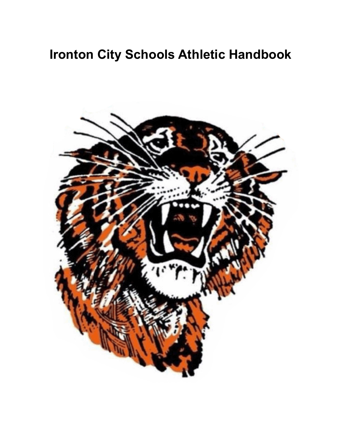# **Ironton City Schools Athletic Handbook**

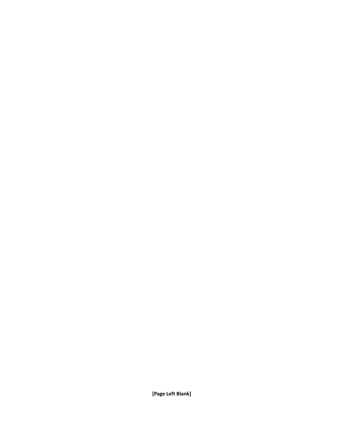**[Page Left Blank]**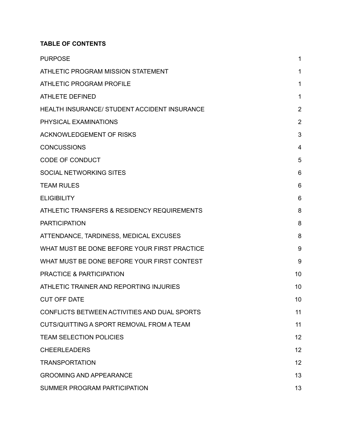# **TABLE OF CONTENTS**

| <b>PURPOSE</b>                               | 1              |
|----------------------------------------------|----------------|
| ATHLETIC PROGRAM MISSION STATEMENT           | 1              |
| ATHLETIC PROGRAM PROFILE                     | 1              |
| <b>ATHLETE DEFINED</b>                       | 1              |
| HEALTH INSURANCE/ STUDENT ACCIDENT INSURANCE | $\overline{2}$ |
| PHYSICAL EXAMINATIONS                        | $\overline{2}$ |
| ACKNOWLEDGEMENT OF RISKS                     | 3              |
| <b>CONCUSSIONS</b>                           | 4              |
| CODE OF CONDUCT                              | 5              |
| SOCIAL NETWORKING SITES                      | 6              |
| <b>TEAM RULES</b>                            | 6              |
| <b>ELIGIBILITY</b>                           | 6              |
| ATHLETIC TRANSFERS & RESIDENCY REQUIREMENTS  | 8              |
| <b>PARTICIPATION</b>                         | 8              |
| ATTENDANCE, TARDINESS, MEDICAL EXCUSES       | 8              |
| WHAT MUST BE DONE BEFORE YOUR FIRST PRACTICE | 9              |
| WHAT MUST BE DONE BEFORE YOUR FIRST CONTEST  | 9              |
| <b>PRACTICE &amp; PARTICIPATION</b>          | 10             |
| ATHLETIC TRAINER AND REPORTING INJURIES      | 10             |
| <b>CUT OFF DATE</b>                          | 10             |
| CONFLICTS BETWEEN ACTIVITIES AND DUAL SPORTS | 11             |
| CUTS/QUITTING A SPORT REMOVAL FROM A TEAM    | 11             |
| <b>TEAM SELECTION POLICIES</b>               | 12             |
| <b>CHEERLEADERS</b>                          | 12             |
| TRANSPORTATION                               | 12             |
| <b>GROOMING AND APPEARANCE</b>               | 13             |
| SUMMER PROGRAM PARTICIPATION                 | 13             |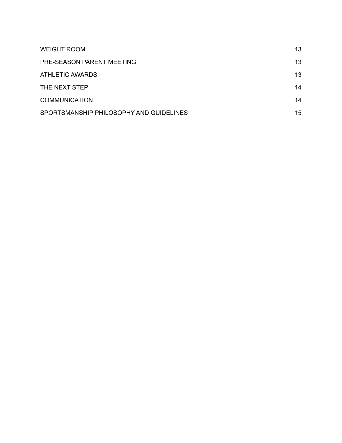| <b>WEIGHT ROOM</b>                      | 13 |  |
|-----------------------------------------|----|--|
| PRE-SEASON PARENT MEETING               | 13 |  |
| <b>ATHLETIC AWARDS</b>                  | 13 |  |
| THE NEXT STEP                           | 14 |  |
| <b>COMMUNICATION</b>                    | 14 |  |
| SPORTSMANSHIP PHILOSOPHY AND GUIDELINES | 15 |  |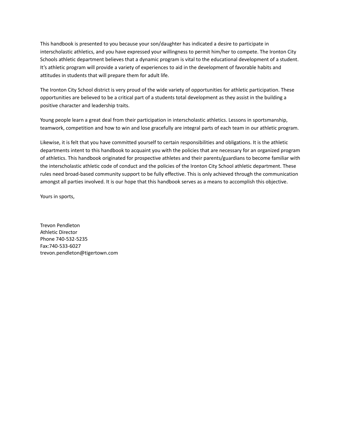This handbook is presented to you because your son/daughter has indicated a desire to participate in interscholastic athletics, and you have expressed your willingness to permit him/her to compete. The Ironton City Schools athletic department believes that a dynamic program is vital to the educational development of a student. It's athletic program will provide a variety of experiences to aid in the development of favorable habits and attitudes in students that will prepare them for adult life.

The Ironton City School district is very proud of the wide variety of opportunities for athletic participation. These opportunities are believed to be a critical part of a students total development as they assist in the building a positive character and leadership traits.

Young people learn a great deal from their participation in interscholastic athletics. Lessons in sportsmanship, teamwork, competition and how to win and lose gracefully are integral parts of each team in our athletic program.

Likewise, it is felt that you have committed yourself to certain responsibilities and obligations. It is the athletic departments intent to this handbook to acquaint you with the policies that are necessary for an organized program of athletics. This handbook originated for prospective athletes and their parents/guardians to become familiar with the interscholastic athletic code of conduct and the policies of the Ironton City School athletic department. These rules need broad-based community support to be fully effective. This is only achieved through the communication amongst all parties involved. It is our hope that this handbook serves as a means to accomplish this objective.

Yours in sports,

Trevon Pendleton Athletic Director Phone 740-532-5235 Fax:740-533-6027 trevon.pendleton@tigertown.com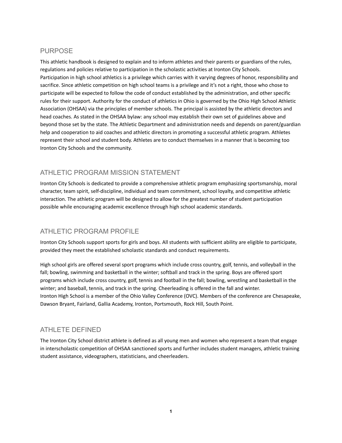### <span id="page-5-0"></span>PURPOSE

This athletic handbook is designed to explain and to inform athletes and their parents or guardians of the rules, regulations and policies relative to participation in the scholastic activities at Ironton City Schools. Participation in high school athletics is a privilege which carries with it varying degrees of honor, responsibility and sacrifice. Since athletic competition on high school teams is a privilege and it's not a right, those who chose to participate will be expected to follow the code of conduct established by the administration, and other specific rules for their support. Authority for the conduct of athletics in Ohio is governed by the Ohio High School Athletic Association (OHSAA) via the principles of member schools. The principal is assisted by the athletic directors and head coaches. As stated in the OHSAA bylaw: any school may establish their own set of guidelines above and beyond those set by the state. The Athletic Department and administration needs and depends on parent/guardian help and cooperation to aid coaches and athletic directors in promoting a successful athletic program. Athletes represent their school and student body. Athletes are to conduct themselves in a manner that is becoming too Ironton City Schools and the community.

# ATHLETIC PROGRAM MISSION STATEMENT

Ironton City Schools is dedicated to provide a comprehensive athletic program emphasizing sportsmanship, moral character, team spirit, self-discipline, individual and team commitment, school loyalty, and competitive athletic interaction. The athletic program will be designed to allow for the greatest number of student participation possible while encouraging academic excellence through high school academic standards.

# ATHLETIC PROGRAM PROFILE

Ironton City Schools support sports for girls and boys. All students with sufficient ability are eligible to participate, provided they meet the established scholastic standards and conduct requirements.

High school girls are offered several sport programs which include cross country, golf, tennis, and volleyball in the fall; bowling, swimming and basketball in the winter; softball and track in the spring. Boys are offered sport programs which include cross country, golf, tennis and football in the fall; bowling, wrestling and basketball in the winter; and baseball, tennis, and track in the spring. Cheerleading is offered in the fall and winter. Ironton High School is a member of the Ohio Valley Conference (OVC). Members of the conference are Chesapeake, Dawson Bryant, Fairland, Gallia Academy, Ironton, Portsmouth, Rock Hill, South Point.

# ATHLETE DEFINED

The Ironton City School district athlete is defined as all young men and women who represent a team that engage in interscholastic competition of OHSAA sanctioned sports and further includes student managers, athletic training student assistance, videographers, statisticians, and cheerleaders.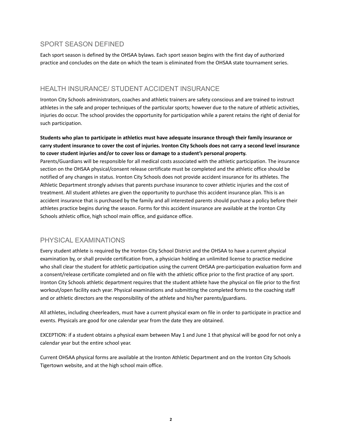### SPORT SEASON DEFINED

Each sport season is defined by the OHSAA bylaws. Each sport season begins with the first day of authorized practice and concludes on the date on which the team is eliminated from the OHSAA state tournament series.

### HEALTH INSURANCE/ STUDENT ACCIDENT INSURANCE

Ironton City Schools administrators, coaches and athletic trainers are safety conscious and are trained to instruct athletes in the safe and proper techniques of the particular sports; however due to the nature of athletic activities, injuries do occur. The school provides the opportunity for participation while a parent retains the right of denial for such participation.

**Students who plan to participate in athletics must have adequate insurance through their family insurance or** carry student insurance to cover the cost of injuries. Ironton City Schools does not carry a second level insurance **to cover student injuries and/or to cover loss or damage to a student's personal property.**

Parents/Guardians will be responsible for all medical costs associated with the athletic participation. The insurance section on the OHSAA physical/consent release certificate must be completed and the athletic office should be notified of any changes in status. Ironton City Schools does not provide accident insurance for its athletes. The Athletic Department strongly advises that parents purchase insurance to cover athletic injuries and the cost of treatment. All student athletes are given the opportunity to purchase this accident insurance plan. This is an accident insurance that is purchased by the family and all interested parents should purchase a policy before their athletes practice begins during the season. Forms for this accident insurance are available at the Ironton City Schools athletic office, high school main office, and guidance office.

# PHYSICAL EXAMINATIONS

Every student athlete is required by the Ironton City School District and the OHSAA to have a current physical examination by, or shall provide certification from, a physician holding an unlimited license to practice medicine who shall clear the student for athletic participation using the current OHSAA pre-participation evaluation form and a consent/release certificate completed and on file with the athletic office prior to the first practice of any sport. Ironton City Schools athletic department requires that the student athlete have the physical on file prior to the first workout/open facility each year. Physical examinations and submitting the completed forms to the coaching staff and or athletic directors are the responsibility of the athlete and his/her parents/guardians.

All athletes, including cheerleaders, must have a current physical exam on file in order to participate in practice and events. Physicals are good for one calendar year from the date they are obtained.

EXCEPTION: if a student obtains a physical exam between May 1 and June 1 that physical will be good for not only a calendar year but the entire school year.

Current OHSAA physical forms are available at the Ironton Athletic Department and on the Ironton City Schools Tigertown website, and at the high school main office.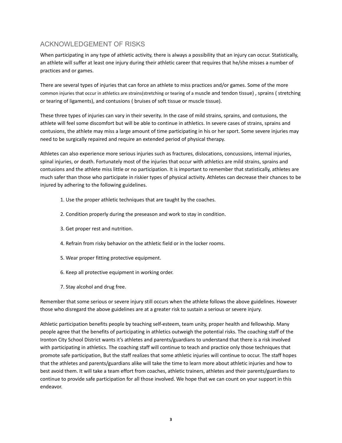### ACKNOWLEDGEMENT OF RISKS

When participating in any type of athletic activity, there is always a possibility that an injury can occur. Statistically, an athlete will suffer at least one injury during their athletic career that requires that he/she misses a number of practices and or games.

There are several types of injuries that can force an athlete to miss practices and/or games. Some of the more common injuries that occur in athletics are strains(stretching or tearing of a muscle and tendon tissue) , sprains ( stretching or tearing of ligaments), and contusions ( bruises of soft tissue or muscle tissue).

These three types of injuries can vary in their severity. In the case of mild strains, sprains, and contusions, the athlete will feel some discomfort but will be able to continue in athletics. In severe cases of strains, sprains and contusions, the athlete may miss a large amount of time participating in his or her sport. Some severe injuries may need to be surgically repaired and require an extended period of physical therapy.

Athletes can also experience more serious injuries such as fractures, dislocations, concussions, internal injuries, spinal injuries, or death. Fortunately most of the injuries that occur with athletics are mild strains, sprains and contusions and the athlete miss little or no participation. It is important to remember that statistically, athletes are much safer than those who participate in riskier types of physical activity. Athletes can decrease their chances to be injured by adhering to the following guidelines.

- 1. Use the proper athletic techniques that are taught by the coaches.
- 2. Condition properly during the preseason and work to stay in condition.
- 3. Get proper rest and nutrition.
- 4. Refrain from risky behavior on the athletic field or in the locker rooms.
- 5. Wear proper fitting protective equipment.
- 6. Keep all protective equipment in working order.
- 7. Stay alcohol and drug free.

Remember that some serious or severe injury still occurs when the athlete follows the above guidelines. However those who disregard the above guidelines are at a greater risk to sustain a serious or severe injury.

Athletic participation benefits people by teaching self-esteem, team unity, proper health and fellowship. Many people agree that the benefits of participating in athletics outweigh the potential risks. The coaching staff of the Ironton City School District wants it's athletes and parents/guardians to understand that there is a risk involved with participating in athletics. The coaching staff will continue to teach and practice only those techniques that promote safe participation, But the staff realizes that some athletic injuries will continue to occur. The staff hopes that the athletes and parents/guardians alike will take the time to learn more about athletic injuries and how to best avoid them. It will take a team effort from coaches, athletic trainers, athletes and their parents/guardians to continue to provide safe participation for all those involved. We hope that we can count on your support in this endeavor.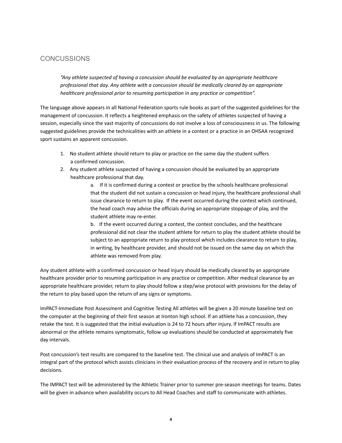### **CONCUSSIONS**

*"Any athlete suspected of having a concussion should be evaluated by an appropriate healthcare professional that day. Any athlete with a concussion should be medically cleared by an appropriate healthcare professional prior to resuming participation in any practice or competition".*

The language above appears in all National Federation sports rule books as part of the suggested guidelines for the management of concussion. It reflects a heightened emphasis on the safety of athletes suspected of having a session, especially since the vast majority of concussions do not involve a loss of consciousness in us. The following suggested guidelines provide the technicalities with an athlete in a contest or a practice in an OHSAA recognized sport sustains an apparent concussion.

- 1. No student athlete should return to play or practice on the same day the student suffers a confirmed concussion.
- 2. Any student athlete suspected of having a concussion should be evaluated by an appropriate healthcare professional that day.

a. If it is confirmed during a contest or practice by the schools healthcare professional that the student did not sustain a concussion or head injury, the healthcare professional shall issue clearance to return to play. If the event occurred during the contest which continued, the head coach may advise the officials during an appropriate stoppage of play, and the student athlete may re-enter.

b. If the event occurred during a contest, the contest concludes, and the healthcare professional did not clear the student athlete for return to play the student athlete should be subject to an appropriate return to play protocol which includes clearance to return to play, in writing, by healthcare provider, and should not be issued on the same day on which the athlete was removed from play.

Any student athlete with a confirmed concussion or head injury should be medically cleared by an appropriate healthcare provider prior to resuming participation in any practice or competition. After medical clearance by an appropriate healthcare provider, return to play should follow a step/wise protocol with provisions for the delay of the return to play based upon the return of any signs or symptoms.

ImPACT-Immediate Post Assessment and Cognitive Testing All athletes will be given a 20 minute baseline test on the computer at the beginning of their first season at Ironton high school. If an athlete has a concussion, they retake the test. It is suggested that the initial evaluation is 24 to 72 hours after injury. If ImPACT results are abnormal or the athlete remains symptomatic, follow up evaluations should be conducted at approximately five day intervals.

Post concussion's test results are compared to the baseline test. The clinical use and analysis of ImPACT is an integral part of the protocol which assists clinicians in their evaluation process of the recovery and in return to play decisions.

The IMPACT test will be administered by the Athletic Trainer prior to summer pre-season meetings for teams. Dates will be given in advance when availability occurs to All Head Coaches and staff to communicate with athletes.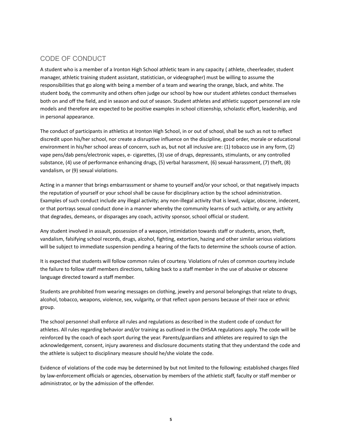# <span id="page-9-0"></span>CODE OF CONDUCT

A student who is a member of a Ironton High School athletic team in any capacity ( athlete, cheerleader, student manager, athletic training student assistant, statistician, or videographer) must be willing to assume the responsibilities that go along with being a member of a team and wearing the orange, black, and white. The student body, the community and others often judge our school by how our student athletes conduct themselves both on and off the field, and in season and out of season. Student athletes and athletic support personnel are role models and therefore are expected to be positive examples in school citizenship, scholastic effort, leadership, and in personal appearance.

The conduct of participants in athletics at Ironton High School, in or out of school, shall be such as not to reflect discredit upon his/her school, nor create a disruptive influence on the discipline, good order, morale or educational environment in his/her school areas of concern, such as, but not all inclusive are: (1) tobacco use in any form, (2) vape pens/dab pens/electronic vapes, e- cigarettes, (3) use of drugs, depressants, stimulants, or any controlled substance, (4) use of performance enhancing drugs, (5) verbal harassment, (6) sexual-harassment, (7) theft, (8) vandalism, or (9) sexual violations.

Acting in a manner that brings embarrassment or shame to yourself and/or your school, or that negatively impacts the reputation of yourself or your school shall be cause for disciplinary action by the school administration. Examples of such conduct include any illegal activity; any non-illegal activity that is lewd, vulgar, obscene, indecent, or that portrays sexual conduct done in a manner whereby the community learns of such activity, or any activity that degrades, demeans, or disparages any coach, activity sponsor, school official or student.

Any student involved in assault, possession of a weapon, intimidation towards staff or students, arson, theft, vandalism, falsifying school records, drugs, alcohol, fighting, extortion, hazing and other similar serious violations will be subject to immediate suspension pending a hearing of the facts to determine the schools course of action.

It is expected that students will follow common rules of courtesy. Violations of rules of common courtesy include the failure to follow staff members directions, talking back to a staff member in the use of abusive or obscene language directed toward a staff member.

Students are prohibited from wearing messages on clothing, jewelry and personal belongings that relate to drugs, alcohol, tobacco, weapons, violence, sex, vulgarity, or that reflect upon persons because of their race or ethnic group.

The school personnel shall enforce all rules and regulations as described in the student code of conduct for athletes. All rules regarding behavior and/or training as outlined in the OHSAA regulations apply. The code will be reinforced by the coach of each sport during the year. Parents/guardians and athletes are required to sign the acknowledgement, consent, injury awareness and disclosure documents stating that they understand the code and the athlete is subject to disciplinary measure should he/she violate the code.

Evidence of violations of the code may be determined by but not limited to the following: established charges filed by law-enforcement officials or agencies, observation by members of the athletic staff, faculty or staff member or administrator, or by the admission of the offender.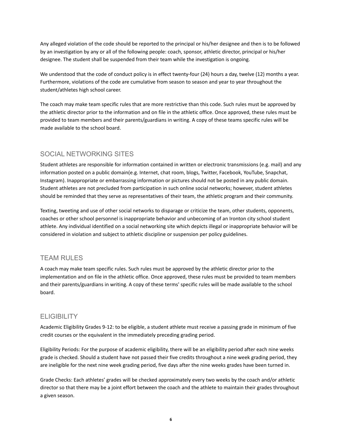Any alleged violation of the code should be reported to the principal or his/her designee and then is to be followed by an investigation by any or all of the following people: coach, sponsor, athletic director, principal or his/her designee. The student shall be suspended from their team while the investigation is ongoing.

We understood that the code of conduct policy is in effect twenty-four (24) hours a day, twelve (12) months a year. Furthermore, violations of the code are cumulative from season to season and year to year throughout the student/athletes high school career.

The coach may make team specific rules that are more restrictive than this code. Such rules must be approved by the athletic director prior to the information and on file in the athletic office. Once approved, these rules must be provided to team members and their parents/guardians in writing. A copy of these teams specific rules will be made available to the school board.

### SOCIAL NETWORKING SITES

Student athletes are responsible for information contained in written or electronic transmissions (e.g. mail) and any information posted on a public domain(e.g. Internet, chat room, blogs, Twitter, Facebook, YouTube, Snapchat, Instagram). Inappropriate or embarrassing information or pictures should not be posted in any public domain. Student athletes are not precluded from participation in such online social networks; however, student athletes should be reminded that they serve as representatives of their team, the athletic program and their community.

Texting, tweeting and use of other social networks to disparage or criticize the team, other students, opponents, coaches or other school personnel is inappropriate behavior and unbecoming of an Ironton city school student athlete. Any individual identified on a social networking site which depicts illegal or inappropriate behavior will be considered in violation and subject to athletic discipline or suspension per policy guidelines.

# <span id="page-10-0"></span>TEAM RULES

A coach may make team specific rules. Such rules must be approved by the athletic director prior to the implementation and on file in the athletic office. Once approved, these rules must be provided to team members and their parents/guardians in writing. A copy of these terms' specific rules will be made available to the school board.

### <span id="page-10-1"></span>**ELIGIBILITY**

Academic Eligibility Grades 9-12: to be eligible, a student athlete must receive a passing grade in minimum of five credit courses or the equivalent in the immediately preceding grading period.

Eligibility Periods: For the purpose of academic eligibility, there will be an eligibility period after each nine weeks grade is checked. Should a student have not passed their five credits throughout a nine week grading period, they are ineligible for the next nine week grading period, five days after the nine weeks grades have been turned in.

Grade Checks: Each athletes' grades will be checked approximately every two weeks by the coach and/or athletic director so that there may be a joint effort between the coach and the athlete to maintain their grades throughout a given season.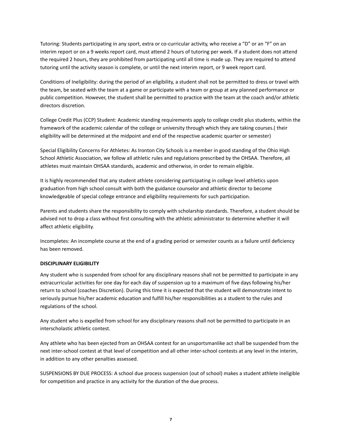Tutoring: Students participating in any sport, extra or co-curricular activity, who receive a "D" or an "F" on an interim report or on a 9 weeks report card, must attend 2 hours of tutoring per week. If a student does not attend the required 2 hours, they are prohibited from participating until all time is made up. They are required to attend tutoring until the activity season is complete, or until the next interim report, or 9 week report card.

Conditions of Ineligibility: during the period of an eligibility, a student shall not be permitted to dress or travel with the team, be seated with the team at a game or participate with a team or group at any planned performance or public competition. However, the student shall be permitted to practice with the team at the coach and/or athletic directors discretion.

College Credit Plus (CCP) Student: Academic standing requirements apply to college credit plus students, within the framework of the academic calendar of the college or university through which they are taking courses.( their eligibility will be determined at the midpoint and end of the respective academic quarter or semester)

Special Eligibility Concerns For Athletes: As Ironton City Schools is a member in good standing of the Ohio High School Athletic Association, we follow all athletic rules and regulations prescribed by the OHSAA. Therefore, all athletes must maintain OHSAA standards, academic and otherwise, in order to remain eligible.

It is highly recommended that any student athlete considering participating in college level athletics upon graduation from high school consult with both the guidance counselor and athletic director to become knowledgeable of special college entrance and eligibility requirements for such participation.

Parents and students share the responsibility to comply with scholarship standards. Therefore, a student should be advised not to drop a class without first consulting with the athletic administrator to determine whether it will affect athletic eligibility.

Incompletes: An incomplete course at the end of a grading period or semester counts as a failure until deficiency has been removed.

#### **DISCIPLINARY ELIGIBILITY**

Any student who is suspended from school for any disciplinary reasons shall not be permitted to participate in any extracurricular activities for one day for each day of suspension up to a maximum of five days following his/her return to school (coaches Discretion). During this time it is expected that the student will demonstrate intent to seriously pursue his/her academic education and fulfill his/her responsibilities as a student to the rules and regulations of the school.

Any student who is expelled from school for any disciplinary reasons shall not be permitted to participate in an interscholastic athletic contest.

Any athlete who has been ejected from an OHSAA contest for an unsportsmanlike act shall be suspended from the next inter-school contest at that level of competition and all other inter-school contests at any level in the interim, in addition to any other penalties assessed.

SUSPENSIONS BY DUE PROCESS: A school due process suspension (out of school) makes a student athlete ineligible for competition and practice in any activity for the duration of the due process.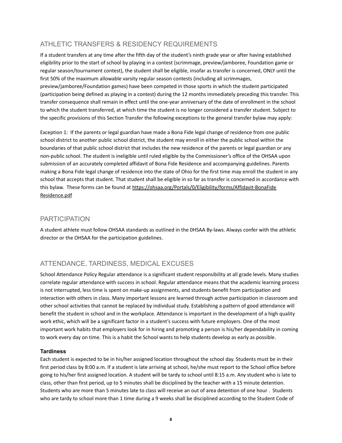# <span id="page-12-0"></span>ATHLETIC TRANSFERS & RESIDENCY REQUIREMENTS

If a student transfers at any time after the fifth day of the student's ninth grade year or after having established eligibility prior to the start of school by playing in a contest (scrimmage, preview/jamboree, Foundation game or regular season/tournament contest), the student shall be eligible, insofar as transfer is concerned, ONLY until the first 50% of the maximum allowable varsity regular season contests (including all scrimmages, preview/jamboree/Foundation games) have been competed in those sports in which the student participated

(participation being defined as playing in a contest) during the 12 months immediately preceding this transfer. This transfer consequence shall remain in effect until the one-year anniversary of the date of enrollment in the school to which the student transferred, at which time the student is no longer considered a transfer student. Subject to the specific provisions of this Section Transfer the following exceptions to the general transfer bylaw may apply:

Exception 1: If the parents or legal guardian have made a Bona Fide legal change of residence from one public school district to another public school district, the student may enroll in either the public school within the boundaries of that public school district that includes the new residence of the parents or legal guardian or any non-public school. The student is ineligible until ruled eligible by the Commissioner's office of the OHSAA upon submission of an accurately completed affidavit of Bona Fide Residence and accompanying guidelines. Parents making a Bona Fide legal change of residence into the state of Ohio for the first time may enroll the student in any school that accepts that student. That student shall be eligible in so far as transfer is concerned in accordance with this bylaw. These forms can be found at https://ohsaa.org/Portals/0/Eligibility/forms/Affidavit-BonaFide Residence.pdf

#### <span id="page-12-1"></span>PARTICIPATION

<span id="page-12-2"></span>A student athlete must follow OHSAA standards as outlined in the 0HSAA By-laws. Always confer with the athletic director or the OHSAA for the participation guidelines.

# ATTENDANCE, TARDINESS, MEDICAL EXCUSES

School Attendance Policy Regular attendance is a significant student responsibility at all grade levels. Many studies correlate regular attendance with success in school. Regular attendance means that the academic learning process is not interrupted, less time is spent on make-up assignments, and students benefit from participation and interaction with others in class. Many important lessons are learned through active participation in classroom and other school activities that cannot be replaced by individual study. Establishing a pattern of good attendance will benefit the student in school and in the workplace. Attendance is important in the development of a high quality work ethic, which will be a significant factor in a student's success with future employers. One of the most important work habits that employers look for in hiring and promoting a person is his/her dependability in coming to work every day on time. This is a habit the School wants to help students develop as early as possible.

#### **Tardiness**

Each student is expected to be in his/her assigned location throughout the school day. Students must be in their first period class by 8:00 a.m. If a student is late arriving at school, he/she must report to the School office before going to his/her first assigned location. A student will be tardy to school until 8:15 a.m. Any student who is late to class, other than first period, up to 5 minutes shall be disciplined by the teacher with a 15 minute detention. Students who are more than 5 minutes late to class will receive an out of area detention of one hour . Students who are tardy to school more than 1 time during a 9 weeks shall be disciplined according to the Student Code of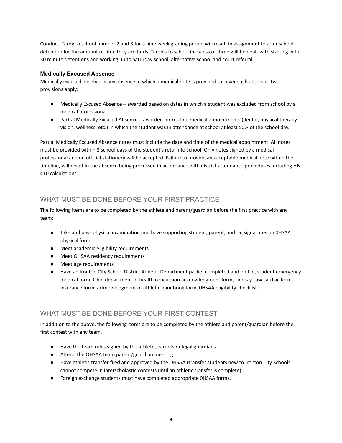Conduct. Tardy to school number 2 and 3 for a nine week grading period will result in assignment to after school detention for the amount of time they are tardy. Tardies to school in excess of three will be dealt with starting with 30 minute detentions and working up to Saturday school, alternative school and court referral.

#### **Medically Excused Absence**

Medically excused absence is any absence in which a medical note is provided to cover such absence. Two provisions apply:

- Medically Excused Absence awarded based on dates in which a student was excluded from school by a medical professional.
- Partial Medically Excused Absence awarded for routine medical appointments (dental, physical therapy, vision, wellness, etc.) in which the student was in attendance at school at least 50% of the school day.

Partial Medically Excused Absence notes must include the date and time of the medical appointment. All notes must be provided within 3 school days of the student's return to school. Only notes signed by a medical professional and on official stationery will be accepted. Failure to provide an acceptable medical note within the timeline, will result in the absence being processed in accordance with district attendance procedures including HB 410 calculations.

# WHAT MUST BE DONE BEFORE YOUR FIRST PRACTICE

The following items are to be completed by the athlete and parent/guardian before the first practice with any team:

- Take and pass physical examination and have supporting student, parent, and Dr. signatures on 0HSAA physical form
- Meet academic eligibility requirements
- Meet OHSAA residency requirements
- Meet age requirements
- Have an Ironton City School District Athletic Department packet completed and on file, student emergency medical form, Ohio department of health concussion acknowledgment form, Lindsay Law cardiac form, insurance form, acknowledgment of athletic handbook form, 0HSAA eligibility checklist.

### <span id="page-13-0"></span>WHAT MUST BE DONE BEFORE YOUR FIRST CONTEST

In addition to the above, the following items are to be completed by the athlete and parent/guardian before the first contest with any team.

- Have the team rules signed by the athlete, parents or legal guardians.
- Attend the OHSAA team parent/guardian meeting.
- Have athletic transfer filed and approved by the OHSAA (transfer students new to Ironton City Schools cannot compete in interscholastic contests until an athletic transfer is complete).
- Foreign exchange students must have completed appropriate 0HSAA forms.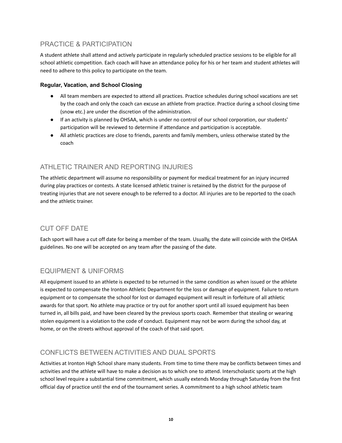### <span id="page-14-0"></span>PRACTICE & PARTICIPATION

A student athlete shall attend and actively participate in regularly scheduled practice sessions to be eligible for all school athletic competition. Each coach will have an attendance policy for his or her team and student athletes will need to adhere to this policy to participate on the team.

#### **Regular, Vacation, and School Closing**

- All team members are expected to attend all practices. Practice schedules during school vacations are set by the coach and only the coach can excuse an athlete from practice. Practice during a school closing time (snow etc.) are under the discretion of the administration.
- If an activity is planned by OHSAA, which is under no control of our school corporation, our students' participation will be reviewed to determine if attendance and participation is acceptable.
- All athletic practices are close to friends, parents and family members, unless otherwise stated by the coach

# <span id="page-14-1"></span>ATHLETIC TRAINER AND REPORTING INJURIES

The athletic department will assume no responsibility or payment for medical treatment for an injury incurred during play practices or contests. A state licensed athletic trainer is retained by the district for the purpose of treating injuries that are not severe enough to be referred to a doctor. All injuries are to be reported to the coach and the athletic trainer.

# CUT OFF DATE

Each sport will have a cut off date for being a member of the team. Usually, the date will coincide with the OHSAA guidelines. No one will be accepted on any team after the passing of the date.

# EQUIPMENT & UNIFORMS

All equipment issued to an athlete is expected to be returned in the same condition as when issued or the athlete is expected to compensate the Ironton Athletic Department for the loss or damage of equipment. Failure to return equipment or to compensate the school for lost or damaged equipment will result in forfeiture of all athletic awards for that sport. No athlete may practice or try out for another sport until all issued equipment has been turned in, all bills paid, and have been cleared by the previous sports coach. Remember that stealing or wearing stolen equipment is a violation to the code of conduct. Equipment may not be worn during the school day, at home, or on the streets without approval of the coach of that said sport.

### CONFLICTS BETWEEN ACTIVITIES AND DUAL SPORTS

Activities at Ironton High School share many students. From time to time there may be conflicts between times and activities and the athlete will have to make a decision as to which one to attend. Interscholastic sports at the high school level require a substantial time commitment, which usually extends Monday through Saturday from the first official day of practice until the end of the tournament series. A commitment to a high school athletic team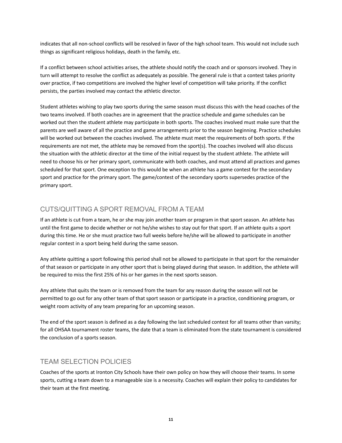indicates that all non-school conflicts will be resolved in favor of the high school team. This would not include such things as significant religious holidays, death in the family, etc.

If a conflict between school activities arises, the athlete should notify the coach and or sponsors involved. They in turn will attempt to resolve the conflict as adequately as possible. The general rule is that a contest takes priority over practice, if two competitions are involved the higher level of competition will take priority. If the conflict persists, the parties involved may contact the athletic director.

Student athletes wishing to play two sports during the same season must discuss this with the head coaches of the two teams involved. If both coaches are in agreement that the practice schedule and game schedules can be worked out then the student athlete may participate in both sports. The coaches involved must make sure that the parents are well aware of all the practice and game arrangements prior to the season beginning. Practice schedules will be worked out between the coaches involved. The athlete must meet the requirements of both sports. If the requirements are not met, the athlete may be removed from the sport(s). The coaches involved will also discuss the situation with the athletic director at the time of the initial request by the student athlete. The athlete will need to choose his or her primary sport, communicate with both coaches, and must attend all practices and games scheduled for that sport. One exception to this would be when an athlete has a game contest for the secondary sport and practice for the primary sport. The game/contest of the secondary sports supersedes practice of the primary sport.

### <span id="page-15-0"></span>CUTS/QUITTING A SPORT REMOVAL FROM A TEAM

If an athlete is cut from a team, he or she may join another team or program in that sport season. An athlete has until the first game to decide whether or not he/she wishes to stay out for that sport. If an athlete quits a sport during this time. He or she must practice two full weeks before he/she will be allowed to participate in another regular contest in a sport being held during the same season.

Any athlete quitting a sport following this period shall not be allowed to participate in that sport for the remainder of that season or participate in any other sport that is being played during that season. In addition, the athlete will be required to miss the first 25% of his or her games in the next sports season.

Any athlete that quits the team or is removed from the team for any reason during the season will not be permitted to go out for any other team of that sport season or participate in a practice, conditioning program, or weight room activity of any team preparing for an upcoming season.

The end of the sport season is defined as a day following the last scheduled contest for all teams other than varsity; for all OHSAA tournament roster teams, the date that a team is eliminated from the state tournament is considered the conclusion of a sports season.

### <span id="page-15-1"></span>TEAM SELECTION POLICIES

Coaches of the sports at Ironton City Schools have their own policy on how they will choose their teams. In some sports, cutting a team down to a manageable size is a necessity. Coaches will explain their policy to candidates for their team at the first meeting.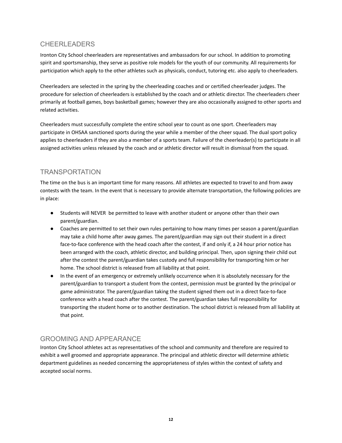### <span id="page-16-0"></span>**CHEERLEADERS**

Ironton City School cheerleaders are representatives and ambassadors for our school. In addition to promoting spirit and sportsmanship, they serve as positive role models for the youth of our community. All requirements for participation which apply to the other athletes such as physicals, conduct, tutoring etc. also apply to cheerleaders.

Cheerleaders are selected in the spring by the cheerleading coaches and or certified cheerleader judges. The procedure for selection of cheerleaders is established by the coach and or athletic director. The cheerleaders cheer primarily at football games, boys basketball games; however they are also occasionally assigned to other sports and related activities.

Cheerleaders must successfully complete the entire school year to count as one sport. Cheerleaders may participate in OHSAA sanctioned sports during the year while a member of the cheer squad. The dual sport policy applies to cheerleaders if they are also a member of a sports team. Failure of the cheerleader(s) to participate in all assigned activities unless released by the coach and or athletic director will result in dismissal from the squad.

# **TRANSPORTATION**

The time on the bus is an important time for many reasons. All athletes are expected to travel to and from away contests with the team. In the event that is necessary to provide alternate transportation, the following policies are in place:

- Students will NEVER be permitted to leave with another student or anyone other than their own parent/guardian.
- Coaches are permitted to set their own rules pertaining to how many times per season a parent/guardian may take a child home after away games. The parent/guardian may sign out their student in a direct face-to-face conference with the head coach after the contest, if and only if, a 24 hour prior notice has been arranged with the coach, athletic director, and building principal. Then, upon signing their child out after the contest the parent/guardian takes custody and full responsibility for transporting him or her home. The school district is released from all liability at that point.
- In the event of an emergency or extremely unlikely occurrence when it is absolutely necessary for the parent/guardian to transport a student from the contest, permission must be granted by the principal or game administrator. The parent/guardian taking the student signed them out in a direct face-to-face conference with a head coach after the contest. The parent/guardian takes full responsibility for transporting the student home or to another destination. The school district is released from all liability at that point.

### GROOMING AND APPEARANCE

Ironton City School athletes act as representatives of the school and community and therefore are required to exhibit a well groomed and appropriate appearance. The principal and athletic director will determine athletic department guidelines as needed concerning the appropriateness of styles within the context of safety and accepted social norms.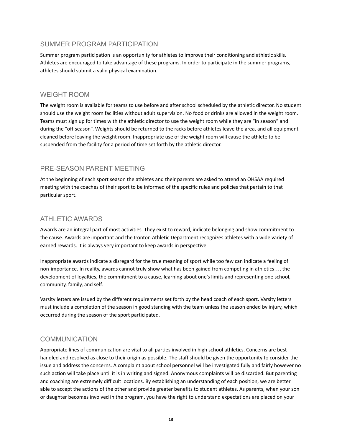#### SUMMER PROGRAM PARTICIPATION

Summer program participation is an opportunity for athletes to improve their conditioning and athletic skills. Athletes are encouraged to take advantage of these programs. In order to participate in the summer programs, athletes should submit a valid physical examination.

#### WEIGHT ROOM

The weight room is available for teams to use before and after school scheduled by the athletic director. No student should use the weight room facilities without adult supervision. No food or drinks are allowed in the weight room. Teams must sign up for times with the athletic director to use the weight room while they are "in season" and during the "off-season". Weights should be returned to the racks before athletes leave the area, and all equipment cleaned before leaving the weight room. Inappropriate use of the weight room will cause the athlete to be suspended from the facility for a period of time set forth by the athletic director.

### PRE-SEASON PARENT MEETING

At the beginning of each sport season the athletes and their parents are asked to attend an OHSAA required meeting with the coaches of their sport to be informed of the specific rules and policies that pertain to that particular sport.

### **ATHLETIC AWARDS**

Awards are an integral part of most activities. They exist to reward, indicate belonging and show commitment to the cause. Awards are important and the Ironton Athletic Department recognizes athletes with a wide variety of earned rewards. It is always very important to keep awards in perspective.

Inappropriate awards indicate a disregard for the true meaning of sport while too few can indicate a feeling of non-importance. In reality, awards cannot truly show what has been gained from competing in athletics…. the development of loyalties, the commitment to a cause, learning about one's limits and representing one school, community, family, and self.

Varsity letters are issued by the different requirements set forth by the head coach of each sport. Varsity letters must include a completion of the season in good standing with the team unless the season ended by injury, which occurred during the season of the sport participated.

# **COMMUNICATION**

Appropriate lines of communication are vital to all parties involved in high school athletics. Concerns are best handled and resolved as close to their origin as possible. The staff should be given the opportunity to consider the issue and address the concerns. A complaint about school personnel will be investigated fully and fairly however no such action will take place until it is in writing and signed. Anonymous complaints will be discarded. But parenting and coaching are extremely difficult locations. By establishing an understanding of each position, we are better able to accept the actions of the other and provide greater benefits to student athletes. As parents, when your son or daughter becomes involved in the program, you have the right to understand expectations are placed on your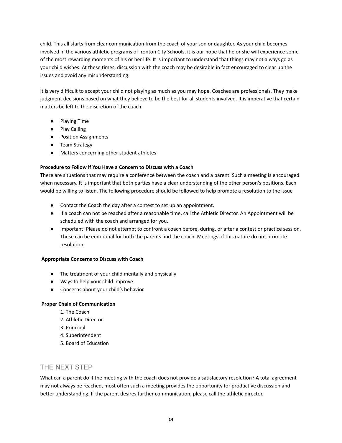child. This all starts from clear communication from the coach of your son or daughter. As your child becomes involved in the various athletic programs of Ironton City Schools, it is our hope that he or she will experience some of the most rewarding moments of his or her life. It is important to understand that things may not always go as your child wishes. At these times, discussion with the coach may be desirable in fact encouraged to clear up the issues and avoid any misunderstanding.

It is very difficult to accept your child not playing as much as you may hope. Coaches are professionals. They make judgment decisions based on what they believe to be the best for all students involved. It is imperative that certain matters be left to the discretion of the coach.

- Playing Time
- Play Calling
- Position Assignments
- Team Strategy
- Matters concerning other student athletes

#### **Procedure to Follow if You Have a Concern to Discuss with a Coach**

There are situations that may require a conference between the coach and a parent. Such a meeting is encouraged when necessary. It is important that both parties have a clear understanding of the other person's positions. Each would be willing to listen. The following procedure should be followed to help promote a resolution to the issue

- Contact the Coach the day after a contest to set up an appointment.
- If a coach can not be reached after a reasonable time, call the Athletic Director. An Appointment will be scheduled with the coach and arranged for you.
- Important: Please do not attempt to confront a coach before, during, or after a contest or practice session. These can be emotional for both the parents and the coach. Meetings of this nature do not promote resolution.

#### **Appropriate Concerns to Discuss with Coach**

- The treatment of your child mentally and physically
- Ways to help your child improve
- Concerns about your child's behavior

#### **Proper Chain of Communication**

- 1. The Coach
- 2. Athletic Director
- 3. Principal
- 4. Superintendent
- 5. Board of Education

#### THE NEXT STEP

What can a parent do if the meeting with the coach does not provide a satisfactory resolution? A total agreement may not always be reached, most often such a meeting provides the opportunity for productive discussion and better understanding. If the parent desires further communication, please call the athletic director.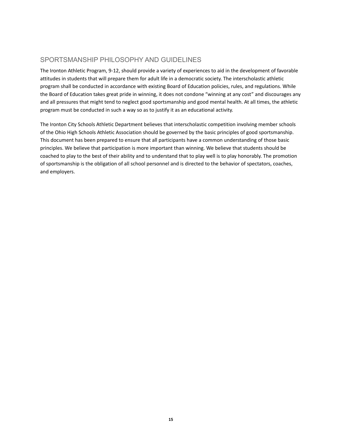# SPORTSMANSHIP PHILOSOPHY AND GUIDELINES

The Ironton Athletic Program, 9-12, should provide a variety of experiences to aid in the development of favorable attitudes in students that will prepare them for adult life in a democratic society. The interscholastic athletic program shall be conducted in accordance with existing Board of Education policies, rules, and regulations. While the Board of Education takes great pride in winning, it does not condone "winning at any cost" and discourages any and all pressures that might tend to neglect good sportsmanship and good mental health. At all times, the athletic program must be conducted in such a way so as to justify it as an educational activity.

The Ironton City Schools Athletic Department believes that interscholastic competition involving member schools of the Ohio High Schools Athletic Association should be governed by the basic principles of good sportsmanship. This document has been prepared to ensure that all participants have a common understanding of those basic principles. We believe that participation is more important than winning. We believe that students should be coached to play to the best of their ability and to understand that to play well is to play honorably. The promotion of sportsmanship is the obligation of all school personnel and is directed to the behavior of spectators, coaches, and employers.